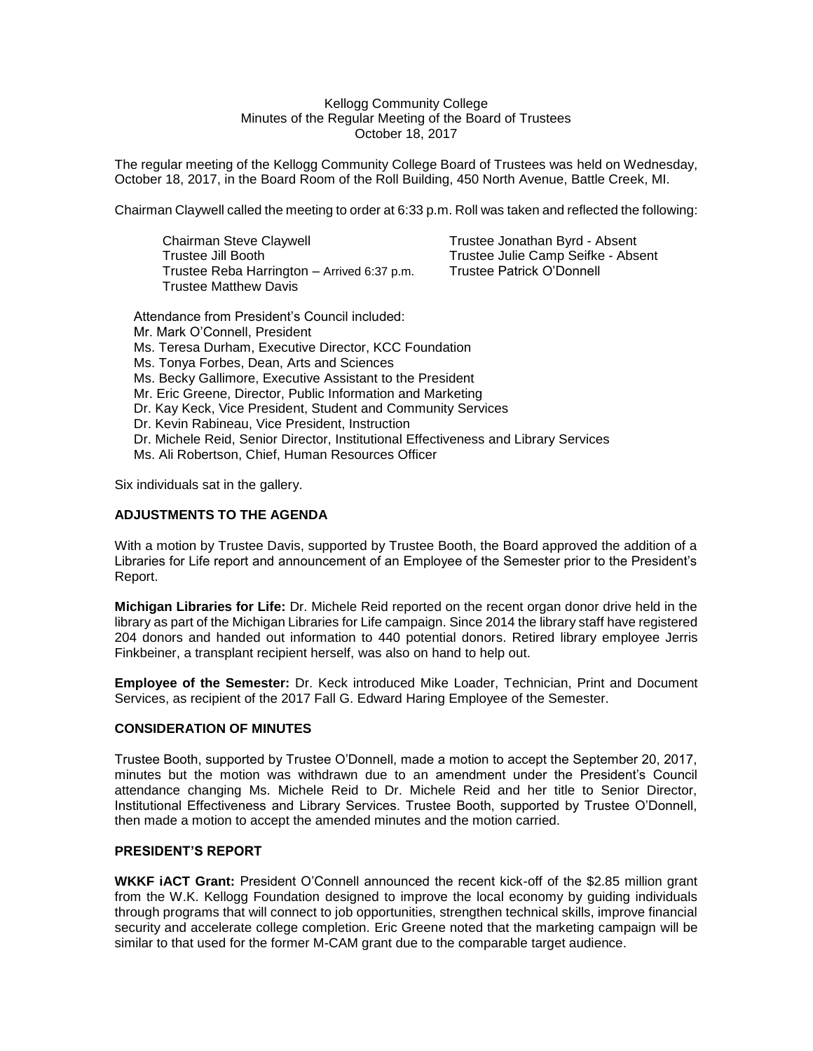#### Kellogg Community College Minutes of the Regular Meeting of the Board of Trustees October 18, 2017

The regular meeting of the Kellogg Community College Board of Trustees was held on Wednesday, October 18, 2017, in the Board Room of the Roll Building, 450 North Avenue, Battle Creek, MI.

Chairman Claywell called the meeting to order at 6:33 p.m. Roll was taken and reflected the following:

Chairman Steve Claywell **Trustee Jonathan Byrd - Absent** Trustee Jill Booth Trustee Julie Camp Seifke - Absent Trustee Reba Harrington – Arrived 6:37 p.m. Trustee Matthew Davis

Attendance from President's Council included: Mr. Mark O'Connell, President Ms. Teresa Durham, Executive Director, KCC Foundation Ms. Tonya Forbes, Dean, Arts and Sciences Ms. Becky Gallimore, Executive Assistant to the President Mr. Eric Greene, Director, Public Information and Marketing Dr. Kay Keck, Vice President, Student and Community Services Dr. Kevin Rabineau, Vice President, Instruction Dr. Michele Reid, Senior Director, Institutional Effectiveness and Library Services Ms. Ali Robertson, Chief, Human Resources Officer

Six individuals sat in the gallery.

### **ADJUSTMENTS TO THE AGENDA**

With a motion by Trustee Davis, supported by Trustee Booth, the Board approved the addition of a Libraries for Life report and announcement of an Employee of the Semester prior to the President's Report.

**Michigan Libraries for Life:** Dr. Michele Reid reported on the recent organ donor drive held in the library as part of the Michigan Libraries for Life campaign. Since 2014 the library staff have registered 204 donors and handed out information to 440 potential donors. Retired library employee Jerris Finkbeiner, a transplant recipient herself, was also on hand to help out.

**Employee of the Semester:** Dr. Keck introduced Mike Loader, Technician, Print and Document Services, as recipient of the 2017 Fall G. Edward Haring Employee of the Semester.

### **CONSIDERATION OF MINUTES**

Trustee Booth, supported by Trustee O'Donnell, made a motion to accept the September 20, 2017, minutes but the motion was withdrawn due to an amendment under the President's Council attendance changing Ms. Michele Reid to Dr. Michele Reid and her title to Senior Director, Institutional Effectiveness and Library Services. Trustee Booth, supported by Trustee O'Donnell, then made a motion to accept the amended minutes and the motion carried.

### **PRESIDENT'S REPORT**

**WKKF iACT Grant:** President O'Connell announced the recent kick-off of the \$2.85 million grant from the W.K. Kellogg Foundation designed to improve the local economy by guiding individuals through programs that will connect to job opportunities, strengthen technical skills, improve financial security and accelerate college completion. Eric Greene noted that the marketing campaign will be similar to that used for the former M-CAM grant due to the comparable target audience.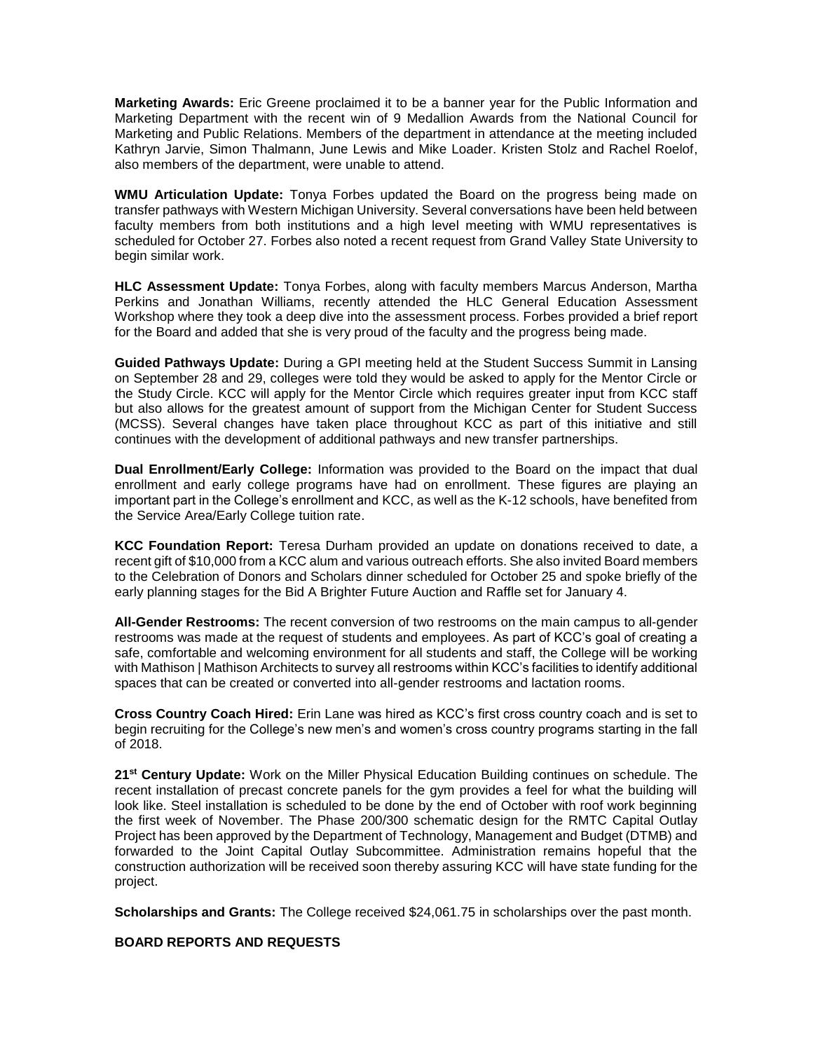**Marketing Awards:** Eric Greene proclaimed it to be a banner year for the Public Information and Marketing Department with the recent win of 9 Medallion Awards from the National Council for Marketing and Public Relations. Members of the department in attendance at the meeting included Kathryn Jarvie, Simon Thalmann, June Lewis and Mike Loader. Kristen Stolz and Rachel Roelof, also members of the department, were unable to attend.

**WMU Articulation Update:** Tonya Forbes updated the Board on the progress being made on transfer pathways with Western Michigan University. Several conversations have been held between faculty members from both institutions and a high level meeting with WMU representatives is scheduled for October 27. Forbes also noted a recent request from Grand Valley State University to begin similar work.

**HLC Assessment Update:** Tonya Forbes, along with faculty members Marcus Anderson, Martha Perkins and Jonathan Williams, recently attended the HLC General Education Assessment Workshop where they took a deep dive into the assessment process. Forbes provided a brief report for the Board and added that she is very proud of the faculty and the progress being made.

**Guided Pathways Update:** During a GPI meeting held at the Student Success Summit in Lansing on September 28 and 29, colleges were told they would be asked to apply for the Mentor Circle or the Study Circle. KCC will apply for the Mentor Circle which requires greater input from KCC staff but also allows for the greatest amount of support from the Michigan Center for Student Success (MCSS). Several changes have taken place throughout KCC as part of this initiative and still continues with the development of additional pathways and new transfer partnerships.

**Dual Enrollment/Early College:** Information was provided to the Board on the impact that dual enrollment and early college programs have had on enrollment. These figures are playing an important part in the College's enrollment and KCC, as well as the K-12 schools, have benefited from the Service Area/Early College tuition rate.

**KCC Foundation Report:** Teresa Durham provided an update on donations received to date, a recent gift of \$10,000 from a KCC alum and various outreach efforts. She also invited Board members to the Celebration of Donors and Scholars dinner scheduled for October 25 and spoke briefly of the early planning stages for the Bid A Brighter Future Auction and Raffle set for January 4.

**All-Gender Restrooms:** The recent conversion of two restrooms on the main campus to all-gender restrooms was made at the request of students and employees. As part of KCC's goal of creating a safe, comfortable and welcoming environment for all students and staff, the College will be working with Mathison | Mathison Architects to survey all restrooms within KCC's facilities to identify additional spaces that can be created or converted into all-gender restrooms and lactation rooms.

**Cross Country Coach Hired:** Erin Lane was hired as KCC's first cross country coach and is set to begin recruiting for the College's new men's and women's cross country programs starting in the fall of 2018.

**21st Century Update:** Work on the Miller Physical Education Building continues on schedule. The recent installation of precast concrete panels for the gym provides a feel for what the building will look like. Steel installation is scheduled to be done by the end of October with roof work beginning the first week of November. The Phase 200/300 schematic design for the RMTC Capital Outlay Project has been approved by the Department of Technology, Management and Budget (DTMB) and forwarded to the Joint Capital Outlay Subcommittee. Administration remains hopeful that the construction authorization will be received soon thereby assuring KCC will have state funding for the project.

**Scholarships and Grants:** The College received \$24,061.75 in scholarships over the past month.

**BOARD REPORTS AND REQUESTS**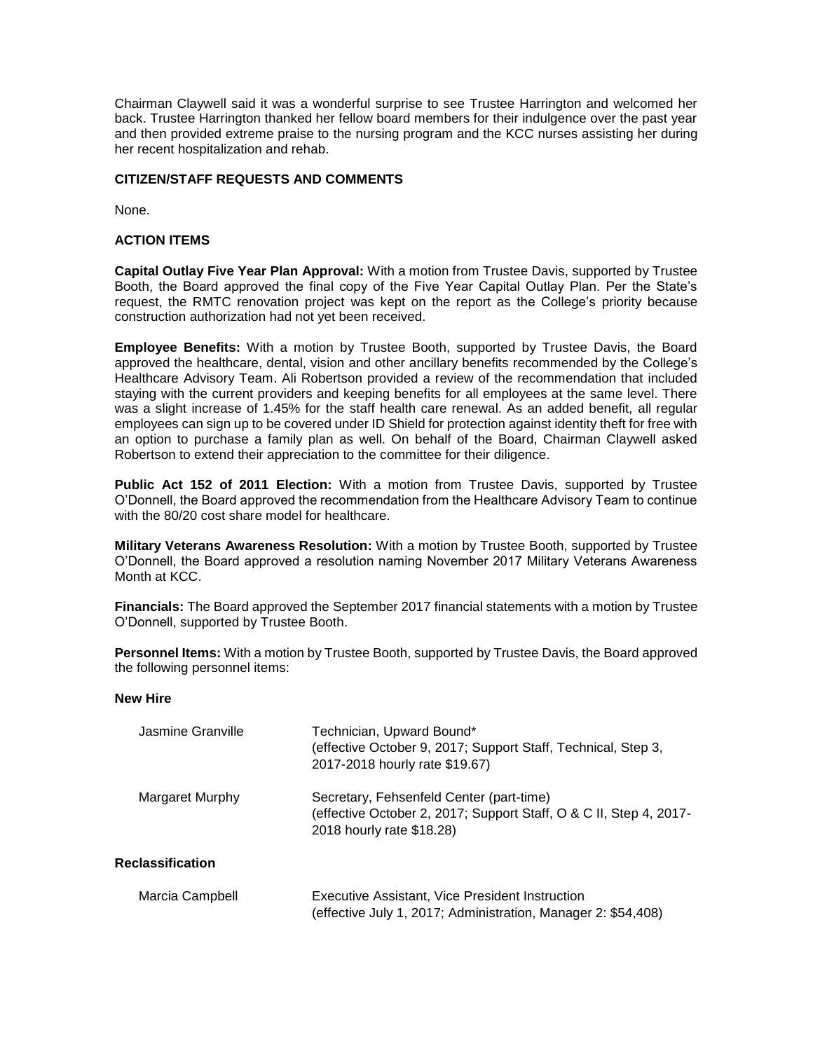Chairman Claywell said it was a wonderful surprise to see Trustee Harrington and welcomed her back. Trustee Harrington thanked her fellow board members for their indulgence over the past year and then provided extreme praise to the nursing program and the KCC nurses assisting her during her recent hospitalization and rehab.

## **CITIZEN/STAFF REQUESTS AND COMMENTS**

None.

## **ACTION ITEMS**

**Capital Outlay Five Year Plan Approval:** With a motion from Trustee Davis, supported by Trustee Booth, the Board approved the final copy of the Five Year Capital Outlay Plan. Per the State's request, the RMTC renovation project was kept on the report as the College's priority because construction authorization had not yet been received.

**Employee Benefits:** With a motion by Trustee Booth, supported by Trustee Davis, the Board approved the healthcare, dental, vision and other ancillary benefits recommended by the College's Healthcare Advisory Team. Ali Robertson provided a review of the recommendation that included staying with the current providers and keeping benefits for all employees at the same level. There was a slight increase of 1.45% for the staff health care renewal. As an added benefit, all regular employees can sign up to be covered under ID Shield for protection against identity theft for free with an option to purchase a family plan as well. On behalf of the Board, Chairman Claywell asked Robertson to extend their appreciation to the committee for their diligence.

**Public Act 152 of 2011 Election:** With a motion from Trustee Davis, supported by Trustee O'Donnell, the Board approved the recommendation from the Healthcare Advisory Team to continue with the 80/20 cost share model for healthcare.

**Military Veterans Awareness Resolution:** With a motion by Trustee Booth, supported by Trustee O'Donnell, the Board approved a resolution naming November 2017 Military Veterans Awareness Month at KCC.

**Financials:** The Board approved the September 2017 financial statements with a motion by Trustee O'Donnell, supported by Trustee Booth.

**Personnel Items:** With a motion by Trustee Booth, supported by Trustee Davis, the Board approved the following personnel items:

### **New Hire**

| Jasmine Granville       | Technician, Upward Bound*<br>(effective October 9, 2017; Support Staff, Technical, Step 3,<br>2017-2018 hourly rate \$19.67)                |
|-------------------------|---------------------------------------------------------------------------------------------------------------------------------------------|
| Margaret Murphy         | Secretary, Fehsenfeld Center (part-time)<br>(effective October 2, 2017; Support Staff, O & C II, Step 4, 2017-<br>2018 hourly rate \$18.28) |
| <b>Reclassification</b> |                                                                                                                                             |
| Marcia Campbell         | Executive Assistant, Vice President Instruction                                                                                             |

(effective July 1, 2017; Administration, Manager 2: \$54,408)